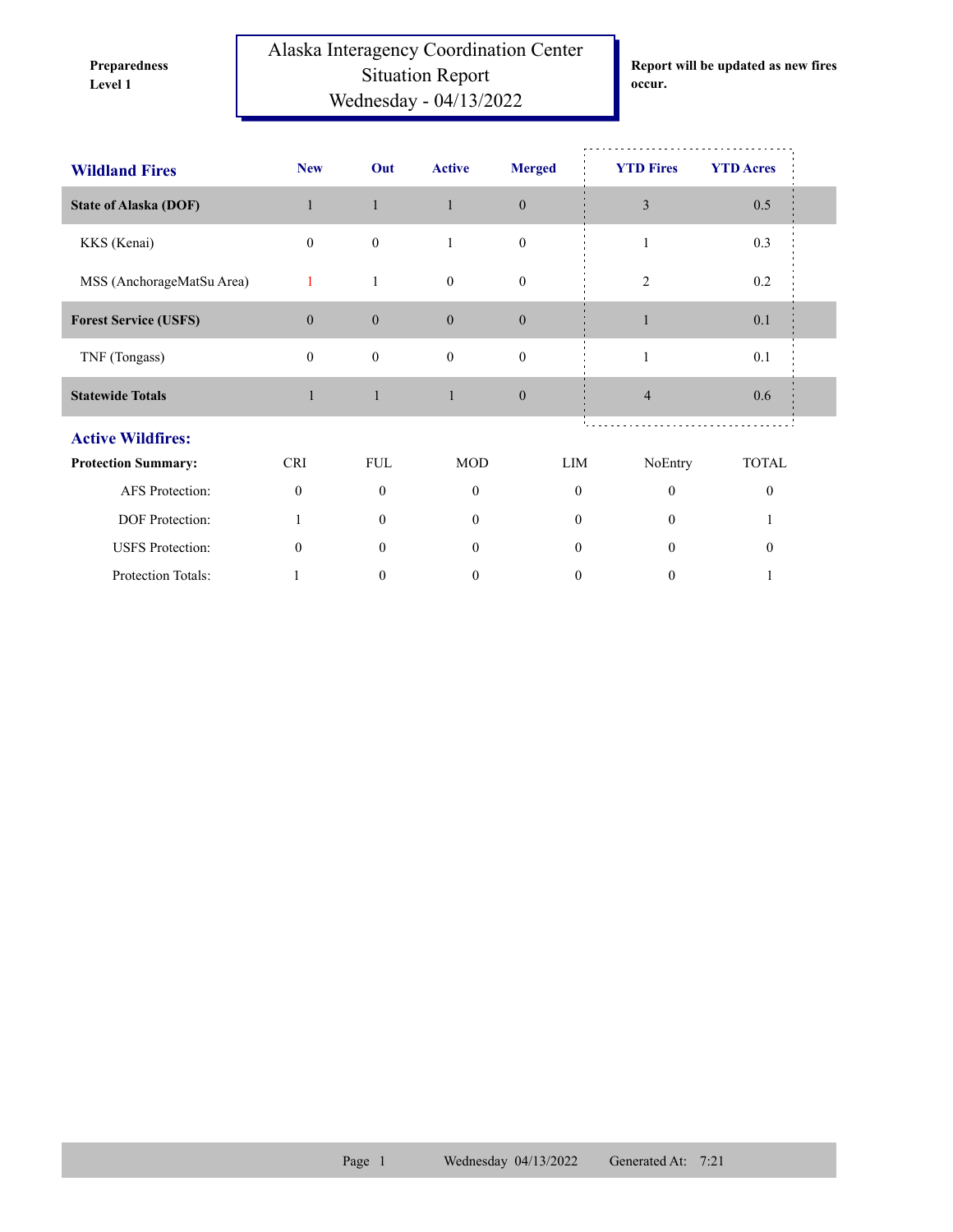**Preparedness** 

Alaska Interagency Coordination Center Situation Report **Level 1 occur.** Wednesday - 04/13/2022

**Report will be updated as new fires** 

| <b>Wildland Fires</b>        | <b>New</b>       | Out              | <b>Active</b>                  | <b>Merged</b>    | <b>YTD Fires</b> | <b>YTD Acres</b> |
|------------------------------|------------------|------------------|--------------------------------|------------------|------------------|------------------|
| <b>State of Alaska (DOF)</b> | $\mathbf{1}$     | $\mathbf{1}$     | $\mathbf{1}$                   | $\boldsymbol{0}$ | 3                | 0.5              |
| KKS (Kenai)                  | $\boldsymbol{0}$ | $\boldsymbol{0}$ | $\mathbf{1}$                   | $\boldsymbol{0}$ | 1                | 0.3              |
| MSS (AnchorageMatSu Area)    | 1                | $\mathbf{1}$     | $\overline{0}$<br>$\mathbf{0}$ |                  | $\overline{2}$   | 0.2              |
| <b>Forest Service (USFS)</b> | $\boldsymbol{0}$ | $\boldsymbol{0}$ | $\boldsymbol{0}$               | $\boldsymbol{0}$ |                  | 0.1              |
| TNF (Tongass)                | $\mathbf{0}$     | $\boldsymbol{0}$ | $\mathbf{0}$                   | $\boldsymbol{0}$ | 1                | 0.1              |
| <b>Statewide Totals</b>      | $\mathbf{1}$     | $\mathbf{1}$     | $\mathbf{1}$                   | $\mathbf{0}$     | $\overline{4}$   | 0.6              |
| <b>Active Wildfires:</b>     |                  |                  |                                |                  |                  |                  |
| <b>Protection Summary:</b>   | <b>CRI</b>       | <b>FUL</b>       | <b>MOD</b>                     | LIM              | NoEntry          | <b>TOTAL</b>     |
| AFS Protection:              | $\theta$         | $\Omega$         | $\Omega$                       | $\mathbf{0}$     | $\theta$         | $\theta$         |
| DOF Protection:              | 1                | $\mathbf{0}$     | $\mathbf{0}$                   | $\overline{0}$   | $\mathbf{0}$     |                  |
| <b>USFS</b> Protection:      | $\theta$         | $\theta$         | $\Omega$                       | $\Omega$         | $\theta$         | $\Omega$         |
| Protection Totals:           |                  | $\theta$         | 0                              | 0                | 0                |                  |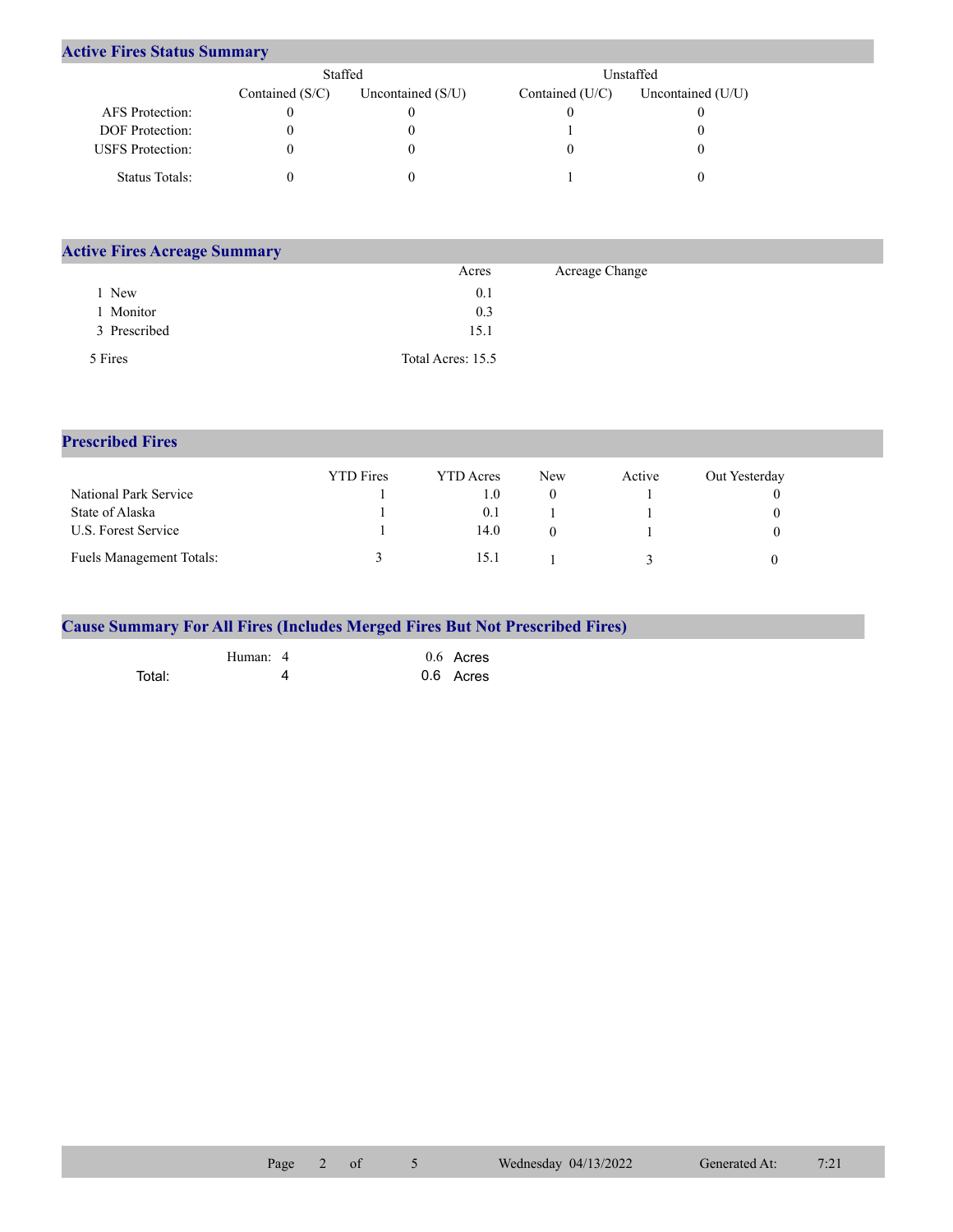## **Active Fires Status Summary**

|                         | Staffed           |                     | Unstaffed         |                     |  |  |
|-------------------------|-------------------|---------------------|-------------------|---------------------|--|--|
|                         | Contained $(S/C)$ | Uncontained $(S/U)$ | Contained $(U/C)$ | Uncontained $(U/U)$ |  |  |
| AFS Protection:         |                   |                     |                   |                     |  |  |
| <b>DOF</b> Protection:  |                   |                     |                   |                     |  |  |
| <b>USFS</b> Protection: |                   |                     |                   |                     |  |  |
| Status Totals:          |                   |                     |                   |                     |  |  |

| <b>Active Fires Acreage Summary</b> |                   |                |  |
|-------------------------------------|-------------------|----------------|--|
|                                     | Acres             | Acreage Change |  |
| New                                 | 0.1               |                |  |
| Monitor                             | 0.3               |                |  |
| 3 Prescribed                        | 15.1              |                |  |
| 5 Fires                             | Total Acres: 15.5 |                |  |

**Prescribed Fires**

|                                 | <b>YTD</b> Fires | <b>YTD</b> Acres | <b>New</b> | Active | Out Yesterday |
|---------------------------------|------------------|------------------|------------|--------|---------------|
| National Park Service           |                  | 1.0              |            |        |               |
| State of Alaska                 |                  | 0.1              |            |        |               |
| U.S. Forest Service             |                  | 14.0             |            |        |               |
| <b>Fuels Management Totals:</b> |                  | 15.1             |            |        |               |

|        |          | <b>Cause Summary For All Fires (Includes Merged Fires But Not Prescribed Fires)</b> |
|--------|----------|-------------------------------------------------------------------------------------|
|        | Human: 4 | $0.6$ Acres                                                                         |
| Total: |          | 0.6 Acres                                                                           |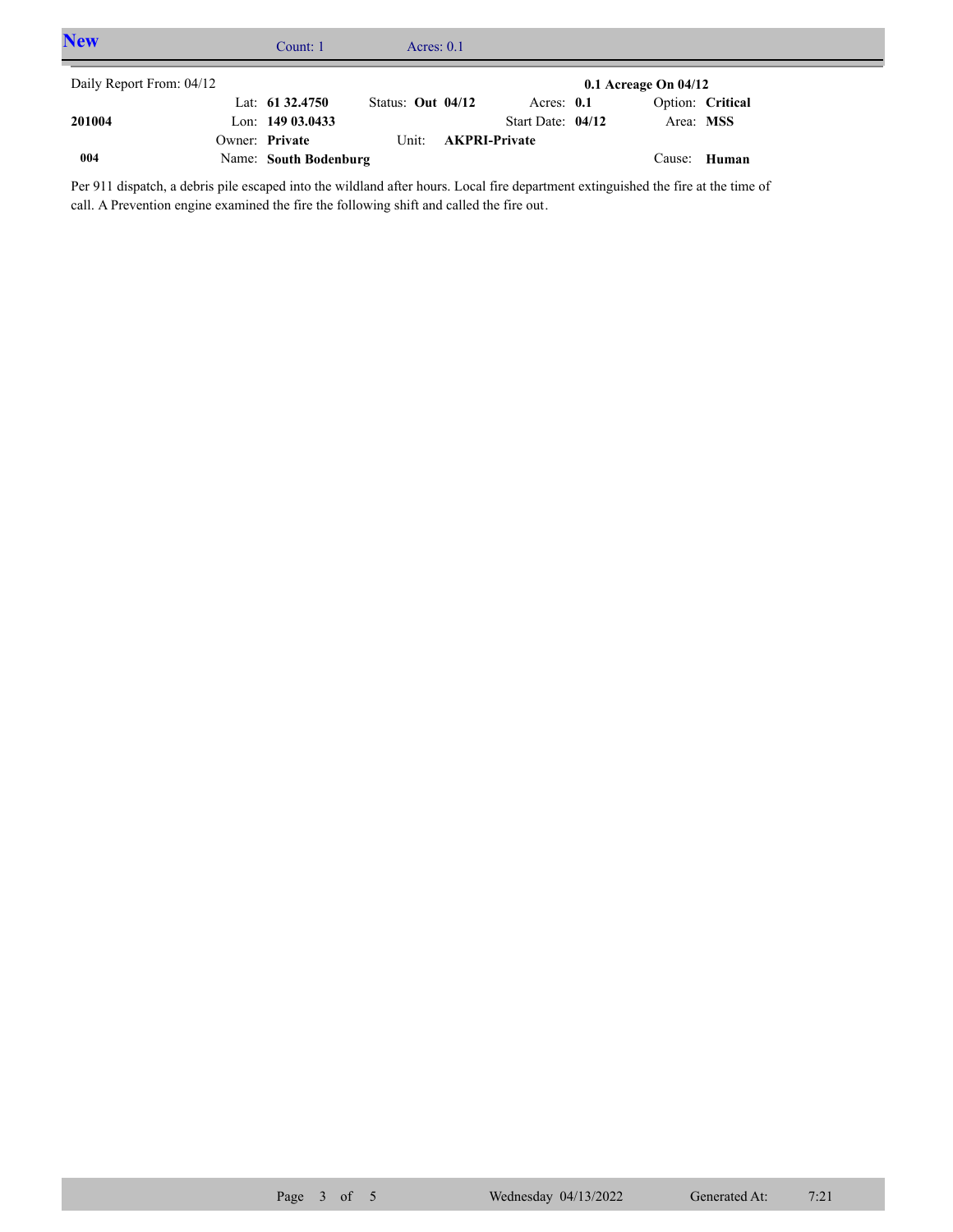| <b>New</b>               | Count: 1              |                     | Acres: $0.1$ |                      |                   |                          |                     |  |
|--------------------------|-----------------------|---------------------|--------------|----------------------|-------------------|--------------------------|---------------------|--|
| Daily Report From: 04/12 |                       |                     |              |                      |                   | $0.1$ Acreage On $04/12$ |                     |  |
|                          | Lat: $61\,32.4750$    | Status: Out $04/12$ |              |                      | Acres: $0.1$      |                          | Option: Critical    |  |
| 201004                   | Lon: $14903.0433$     |                     |              |                      | Start Date: 04/12 | Area: MSS                |                     |  |
|                          | Owner: Private        | Unit:               |              | <b>AKPRI-Private</b> |                   |                          |                     |  |
| 004                      | Name: South Bodenburg |                     |              |                      |                   |                          | Cause: <b>Human</b> |  |

Per 911 dispatch, a debris pile escaped into the wildland after hours. Local fire department extinguished the fire at the time of call. A Prevention engine examined the fire the following shift and called the fire out.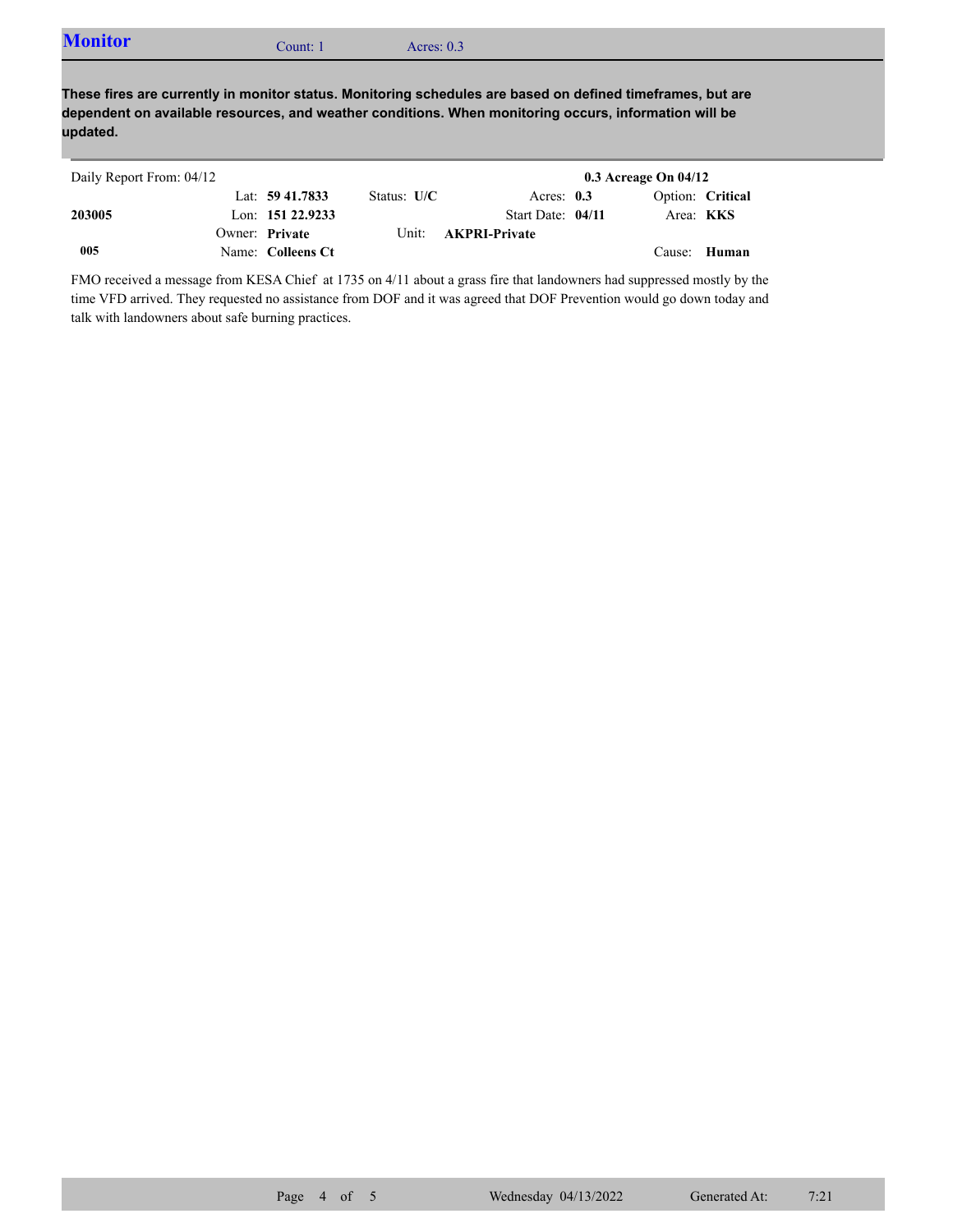| <b>Monitor</b> | Count: 1 | Acres: $0.3$ |
|----------------|----------|--------------|
|                |          |              |

**These fires are currently in monitor status. Monitoring schedules are based on defined timeframes, but are dependent on available resources, and weather conditions. When monitoring occurs, information will be updated.**

| Daily Report From: 04/12 |                     |               |                            | $0.3$ Acreage On $04/12$ |                  |
|--------------------------|---------------------|---------------|----------------------------|--------------------------|------------------|
|                          | Lat: 59 41.7833     | Status: $U/C$ | Acres: $0.3$               |                          | Option: Critical |
| 203005                   | Lon: $151\,22.9233$ |               | Start Date: 04/11          | Area: <b>KKS</b>         |                  |
|                          | Owner: Private      |               | Unit: <b>AKPRI-Private</b> |                          |                  |
| 005                      | Name: Colleens Ct   |               |                            | Cause: Human             |                  |

FMO received a message from KESA Chief at 1735 on 4/11 about a grass fire that landowners had suppressed mostly by the time VFD arrived. They requested no assistance from DOF and it was agreed that DOF Prevention would go down today and talk with landowners about safe burning practices.